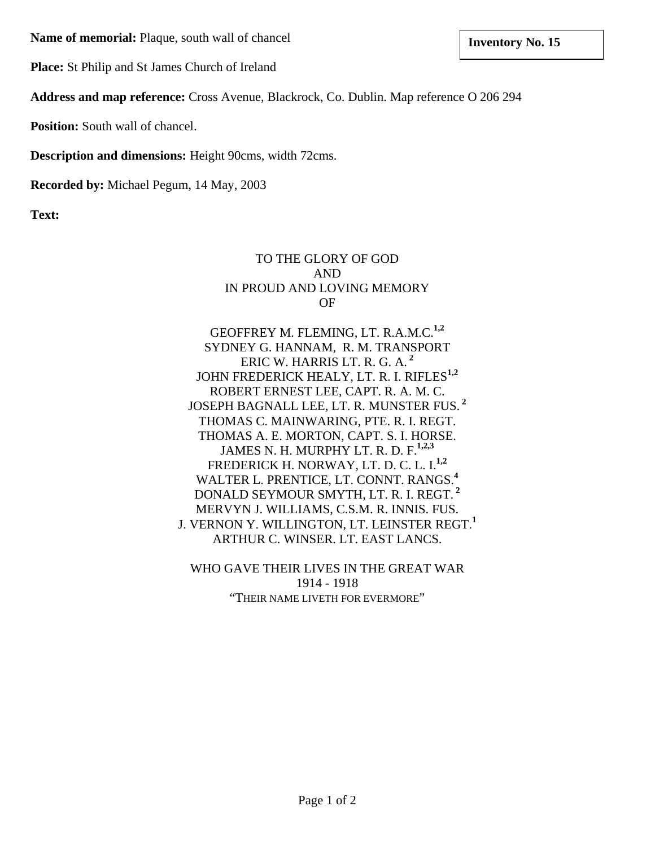**Name of memoria Inventory No. 15 l:** Plaque, south wall of chancel

**Place:** St Philip and St James Church of Ireland

**Address and map reference:** Cross Avenue, Blackrock, Co. Dublin. Map reference O 206 294

**Position:** South wall of chancel.

**Description and dimensions:** Height 90cms, width 72cms.

**Recorded by:** Michael Pegum, 14 May, 2003

**Text:**

### TO THE GLORY OF GOD AND IN PROUD AND LOVING MEMORY OF

GEOFFREY M. FLEMING, LT. R.A.M.C.**1,2** SYDNEY G. HANNAM, R. M. TRANSPORT ERIC W. HARRIS LT. R. G. A.**<sup>2</sup>** JOHN FREDERICK HEALY, LT. R. I. RIFLES**1,2** ROBERT ERNEST LEE, CAPT. R. A. M. C. JOSEPH BAGNALL LEE, LT. R. MUNSTER FUS.**<sup>2</sup>** THOMAS C. MAINWARING, PTE. R. I. REGT. THOMAS A. E. MORTON, CAPT. S. I. HORSE. JAMES N. H. MURPHY LT. R. D. F.**1,2,3** FREDERICK H. NORWAY, LT. D. C. L. I.**1,2** WALTER L. PRENTICE, LT. CONNT. RANGS.**<sup>4</sup>** DONALD SEYMOUR SMYTH, LT. R. I. REGT.**<sup>2</sup>** MERVYN J. WILLIAMS, C.S.M. R. INNIS. FUS. J. VERNON Y. WILLINGTON, LT. LEINSTER REGT.**<sup>1</sup>** ARTHUR C. WINSER. LT. EAST LANCS.

WHO GAVE THEIR LIVES IN THE GREAT WAR 1914 - 1918 "THEIR NAME LIVETH FOR EVERMORE"